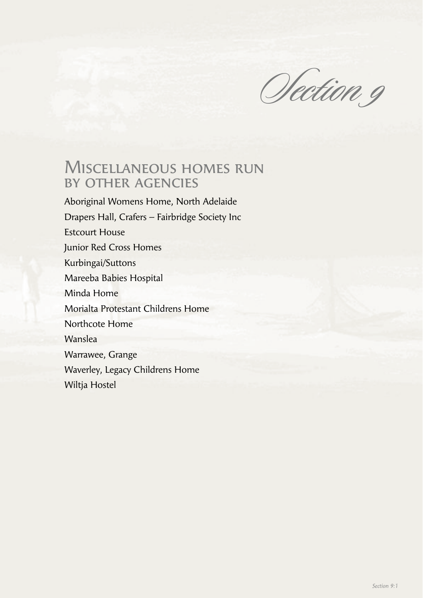Section 9

# Miscellaneous homes run by other agencies

Aboriginal Womens Home, North Adelaide Drapers Hall, Crafers – Fairbridge Society Inc Estcourt House Junior Red Cross Homes Kurbingai/Suttons Mareeba Babies Hospital Minda Home Morialta Protestant Childrens Home Northcote Home Wanslea Warrawee, Grange Waverley, Legacy Childrens Home Wiltja Hostel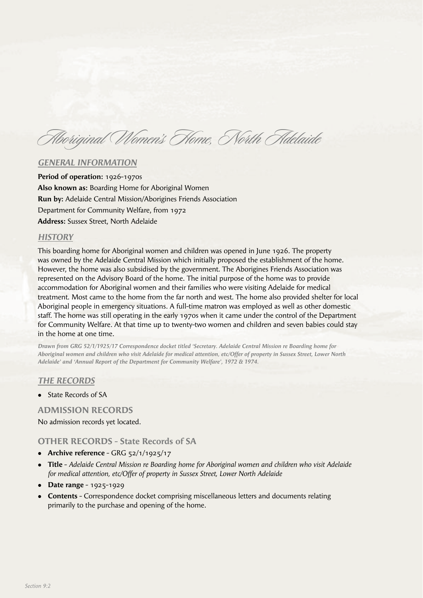Aboriginal Women's Home, North Adelaide

#### *GENERAL INFORMATION*

**Period of operation:** 1926-1970s **Also known as:** Boarding Home for Aboriginal Women **Run by:** Adelaide Central Mission/Aborigines Friends Association Department for Community Welfare, from 1972 **Address:** Sussex Street, North Adelaide

#### *HISTORY*

This boarding home for Aboriginal women and children was opened in June 1926. The property was owned by the Adelaide Central Mission which initially proposed the establishment of the home. However, the home was also subsidised by the government. The Aborigines Friends Association was represented on the Advisory Board of the home. The initial purpose of the home was to provide accommodation for Aboriginal women and their families who were visiting Adelaide for medical treatment. Most came to the home from the far north and west. The home also provided shelter for local Aboriginal people in emergency situations. A full-time matron was employed as well as other domestic staff. The home was still operating in the early 1970s when it came under the control of the Department for Community Welfare. At that time up to twenty-two women and children and seven babies could stay in the home at one time.

*Drawn from GRG 52/1/1925/17 Correspondence docket titled 'Secretary. Adelaide Central Mission re Boarding home for Aboriginal women and children who visit Adelaide for medical attention, etc/Offer of property in Sussex Street, Lower North Adelaide' and 'Annual Report of the Department for Community Welfare', 1972 & 1974.*

#### *THE RECORDS*

**State Records of SA** 

#### **ADMISSION RECORDS**

No admission records yet located.

#### **OTHER RECORDS - State Records of SA**

- **•** Archive reference GRG 52/1/1925/17
- <sup>l</sup> **Title** *Adelaide Central Mission re Boarding home for Aboriginal women and children who visit Adelaide for medical attention, etc/Offer of property in Sussex Street, Lower North Adelaide*
- **•** Date range 1925-1929
- **Contents** Correspondence docket comprising miscellaneous letters and documents relating primarily to the purchase and opening of the home.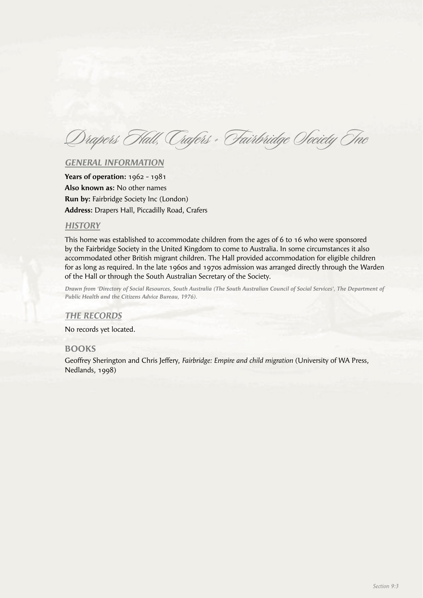Drapers Hall, Crafers - Fairbridge Society Inc

#### *GENERAL INFORMATION*

**Years of operation:** 1962 - 1981 **Also known as:** No other names **Run by:** Fairbridge Society Inc (London) **Address:** Drapers Hall, Piccadilly Road, Crafers

#### *HISTORY*

This home was established to accommodate children from the ages of 6 to 16 who were sponsored by the Fairbridge Society in the United Kingdom to come to Australia. In some circumstances it also accommodated other British migrant children. The Hall provided accommodation for eligible children for as long as required. In the late 1960s and 1970s admission was arranged directly through the Warden of the Hall or through the South Australian Secretary of the Society.

*Drawn from 'Directory of Social Resources, South Australia (The South Australian Council of Social Services', The Department of Public Health and the Citizens Advice Bureau, 1976).*

#### *THE RECORDS*

No records yet located.

#### **BOOKS**

Geoffrey Sherington and Chris Jeffery, *Fairbridge: Empire and child migration* (University of WA Press, Nedlands, 1998)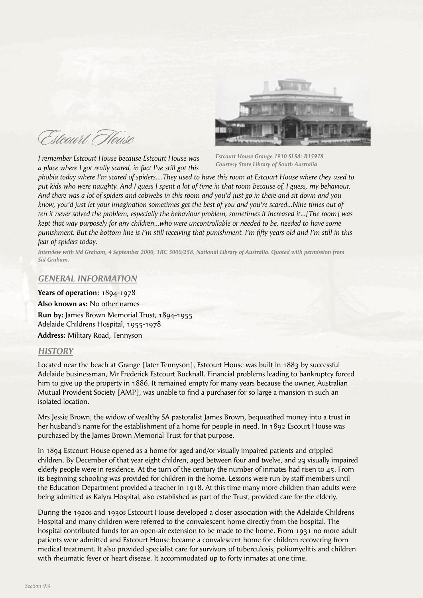Estcourt House

*I remember Estcourt House because Estcourt House was a place where I got really scared, in fact I've still got this* 

*Estcourt House Grange 1910 SLSA: B15978 Courtesy State Library of South Australia*

*phobia today where I'm scared of spiders….They used to have this room at Estcourt House where they used to put kids who were naughty. And I guess I spent a lot of time in that room because of, I guess, my behaviour. And there was a lot of spiders and cobwebs in this room and you'd just go in there and sit down and you know, you'd just let your imagination sometimes get the best of you and you're scared…Nine times out of ten it never solved the problem, especially the behaviour problem, sometimes it increased it…[The room] was kept that way purposely for any children…who were uncontrollable or needed to be, needed to have some punishment. But the bottom line is I'm still receiving that punishment. I'm fifty years old and I'm still in this fear of spiders today.*

*Interview with Sid Graham, 4 September 2000, TRC 5000/258, National Library of Australia. Quoted with permission from Sid Graham.*

#### *GENERAL INFORMATION*

**Years of operation:** 1894-1978 **Also known as:** No other names **Run by:** James Brown Memorial Trust, 1894-1955 Adelaide Childrens Hospital, 1955-1978 **Address:** Military Road, Tennyson

# *HISTORY*

Located near the beach at Grange [later Tennyson], Estcourt House was built in 1883 by successful Adelaide businessman, Mr Frederick Estcourt Bucknall. Financial problems leading to bankruptcy forced him to give up the property in 1886. It remained empty for many years because the owner, Australian Mutual Provident Society [AMP], was unable to find a purchaser for so large a mansion in such an isolated location.

Mrs Jessie Brown, the widow of wealthy SA pastoralist James Brown, bequeathed money into a trust in her husband's name for the establishment of a home for people in need. In 1892 Escourt House was purchased by the James Brown Memorial Trust for that purpose.

In 1894 Estcourt House opened as a home for aged and/or visually impaired patients and crippled children. By December of that year eight children, aged between four and twelve, and 23 visually impaired elderly people were in residence. At the turn of the century the number of inmates had risen to  $45$ . From its beginning schooling was provided for children in the home. Lessons were run by staff members until the Education Department provided a teacher in 1918. At this time many more children than adults were being admitted as Kalyra Hospital, also established as part of the Trust, provided care for the elderly.

During the 1920s and 1930s Estcourt House developed a closer association with the Adelaide Childrens Hospital and many children were referred to the convalescent home directly from the hospital. The hospital contributed funds for an open-air extension to be made to the home. From 1931 no more adult patients were admitted and Estcourt House became a convalescent home for children recovering from medical treatment. It also provided specialist care for survivors of tuberculosis, poliomyelitis and children with rheumatic fever or heart disease. It accommodated up to forty inmates at one time.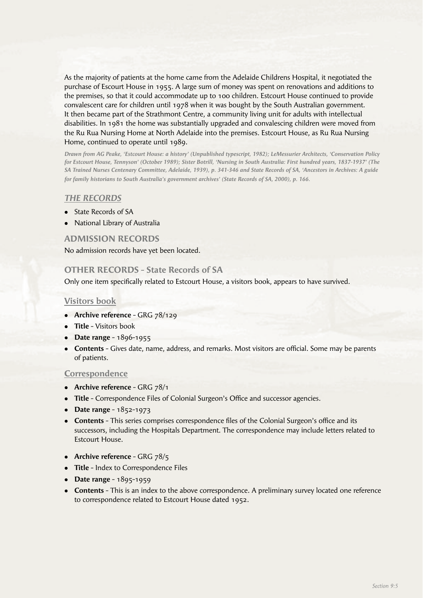As the majority of patients at the home came from the Adelaide Childrens Hospital, it negotiated the purchase of Escourt House in 1955. A large sum of money was spent on renovations and additions to the premises, so that it could accommodate up to 100 children. Estcourt House continued to provide convalescent care for children until 1978 when it was bought by the South Australian government. It then became part of the Strathmont Centre, a community living unit for adults with intellectual disabilities. In 1981 the home was substantially upgraded and convalescing children were moved from the Ru Rua Nursing Home at North Adelaide into the premises. Estcourt House, as Ru Rua Nursing Home, continued to operate until 1989.

*Drawn from AG Peake, 'Estcourt House: a history' (Unpublished typescript, 1982); LeMessurier Architects, 'Conservation Policy for Estcourt House, Tennyson' (October 1989); Sister Botrill, 'Nursing in South Australia: First hundred years, 1837-1937' (The SA Trained Nurses Centenary Committee, Adelaide, 1939), p. 341-346 and State Records of SA, 'Ancestors in Archives: A guide for family historians to South Australia's government archives' (State Records of SA, 2000), p. 166.*

#### *THE RECORDS*

- State Records of SA
- National Library of Australia

#### **ADMISSION RECORDS**

No admission records have yet been located.

#### **OTHER RECORDS - State Records of SA**

Only one item specifically related to Estcourt House, a visitors book, appears to have survived.

#### **Visitors book**

- **Archive reference** GRG 78/129
- **Title** Visitors book
- **•** Date range 1896-1955
- **Contents** Gives date, name, address, and remarks. Most visitors are official. Some may be parents of patients.

#### **Correspondence**

- Archive reference GRG 78/1
- Title Correspondence Files of Colonial Surgeon's Office and successor agencies.
- **•** Date range 1852-1973
- **Contents** This series comprises correspondence files of the Colonial Surgeon's office and its successors, including the Hospitals Department. The correspondence may include letters related to Estcourt House.
- **Archive reference** GRG 78/5
- **Title** Index to Correspondence Files
- **•** Date range 1895-1959
- **Contents** This is an index to the above correspondence. A preliminary survey located one reference to correspondence related to Estcourt House dated 1952.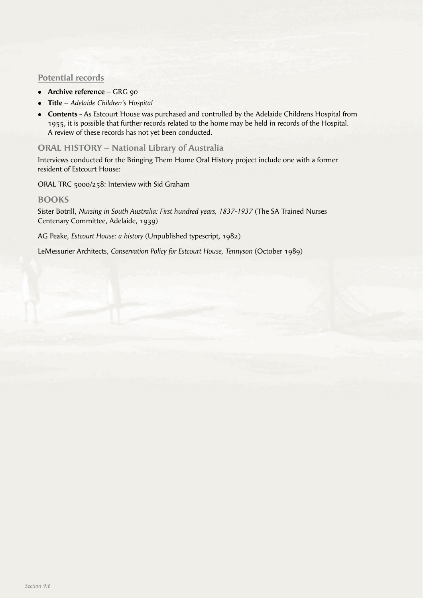# **Potential records**

- **Archive reference** GRG 90
- <sup>l</sup> **Title** *Adelaide Children's Hospital*
- **Contents** As Estcourt House was purchased and controlled by the Adelaide Childrens Hospital from 1955, it is possible that further records related to the home may be held in records of the Hospital. A review of these records has not yet been conducted.

# **ORAL HISTORY – National Library of Australia**

Interviews conducted for the Bringing Them Home Oral History project include one with a former resident of Estcourt House:

ORAL TRC 5000/258: Interview with Sid Graham

#### **BOOKS**

Sister Botrill, *Nursing in South Australia: First hundred years, 1837-1937* (The SA Trained Nurses Centenary Committee, Adelaide, 1939)

AG Peake, *Estcourt House: a history* (Unpublished typescript, 1982)

LeMessurier Architects, *Conservation Policy for Estcourt House, Tennyson* (October 1989)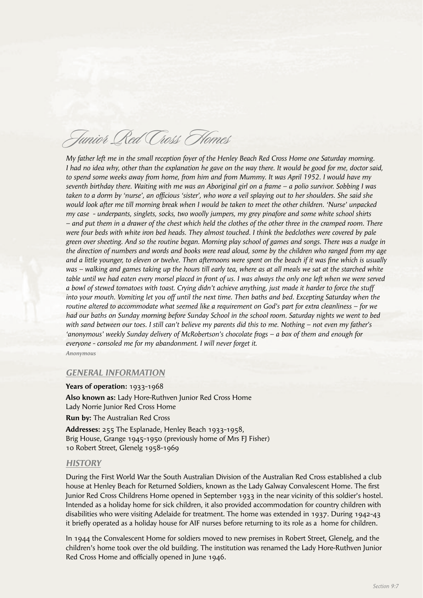# Junior Red Cross Homes

*My father left me in the small reception foyer of the Henley Beach Red Cross Home one Saturday morning. I had no idea why, other than the explanation he gave on the way there. It would be good for me, doctor said, to spend some weeks away from home, from him and from Mummy. It was April 1952. I would have my seventh birthday there. Waiting with me was an Aboriginal girl on a frame – a polio survivor. Sobbing I was taken to a dorm by 'nurse', an offi cious 'sister', who wore a veil splaying out to her shoulders. She said she would look after me till morning break when I would be taken to meet the other children. 'Nurse' unpacked my case - underpants, singlets, socks, two woolly jumpers, my grey pinafore and some white school shirts – and put them in a drawer of the chest which held the clothes of the other three in the cramped room. There were four beds with white iron bed heads. They almost touched. I think the bedclothes were covered by pale green over sheeting. And so the routine began. Morning play school of games and songs. There was a nudge in the direction of numbers and words and books were read aloud, some by the children who ranged from my age*  and a little younger, to eleven or twelve. Then afternoons were spent on the beach if it was fine which is usually *was – walking and games taking up the hours till early tea, where as at all meals we sat at the starched white* table until we had eaten every morsel placed in front of us. I was always the only one left when we were served *a bowl of stewed tomatoes with toast. Crying didn't achieve anything, just made it harder to force the stuff into your mouth. Vomiting let you off until the next time. Then baths and bed. Excepting Saturday when the routine altered to accommodate what seemed like a requirement on God's part for extra cleanliness – for we had our baths on Sunday morning before Sunday School in the school room. Saturday nights we went to bed with sand between our toes. I still can't believe my parents did this to me. Nothing – not even my father's 'anonymous' weekly Sunday delivery of McRobertson's chocolate frogs – a box of them and enough for everyone - consoled me for my abandonment. I will never forget it.* 

*Anonymous*

#### *GENERAL INFORMATION*

**Years of operation:** 1933-1968

**Also known as:** Lady Hore-Ruthven Junior Red Cross Home Lady Norrie Junior Red Cross Home **Run by:** The Australian Red Cross

**Addresses:** 255 The Esplanade, Henley Beach 1933-1958, Brig House, Grange 1945-1950 (previously home of Mrs FJ Fisher) 10 Robert Street, Glenelg 1958-1969

#### *HISTORY*

During the First World War the South Australian Division of the Australian Red Cross established a club house at Henley Beach for Returned Soldiers, known as the Lady Galway Convalescent Home. The first Junior Red Cross Childrens Home opened in September 1933 in the near vicinity of this soldier's hostel. Intended as a holiday home for sick children, it also provided accommodation for country children with disabilities who were visiting Adelaide for treatment. The home was extended in 1937. During 1942-43 it briefly operated as a holiday house for AIF nurses before returning to its role as a home for children.

In 1944 the Convalescent Home for soldiers moved to new premises in Robert Street, Glenelg, and the children's home took over the old building. The institution was renamed the Lady Hore-Ruthven Junior Red Cross Home and officially opened in June 1946.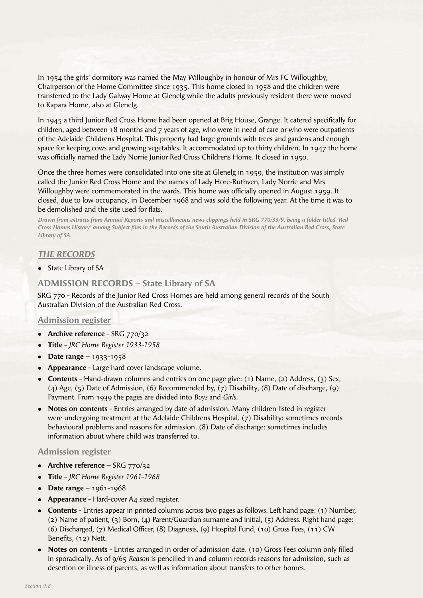In 1954 the girls' dormitory was named the May Willoughby in honour of Mrs FC Willoughby, Chairperson of the Home Committee since 1935. This home closed in 1958 and the children were transferred to the Lady Galway Home at Glenelg while the adults previously resident there were moved to Kapara Home, also at Glenelg.

In 1945 a third Junior Red Cross Home had been opened at Brig House, Grange. It catered specifically for children, aged between 18 months and 7 years of age, who were in need of care or who were outpatients of the Adelaide Childrens Hospital. This property had large grounds with trees and gardens and enough space for keeping cows and growing vegetables. It accommodated up to thirty children. In 1947 the home was officially named the Lady Norrie Junior Red Cross Childrens Home. It closed in 1950.

Once the three homes were consolidated into one site at Glenelg in 1959, the institution was simply called the Junior Red Cross Home and the names of Lady Hore-Ruthven, Lady Norrie and Mrs Willoughby were commemorated in the wards. This home was officially opened in August 1959. It closed, due to low occupancy, in December 1968 and was sold the following year. At the time it was to be demolished and the site used for flats.

*Drawn from extracts from Annual Reports and miscellaneous news clippings held in SRG 770/33/9, being a folder titled 'Red Cross Homes History' among Subject fi les in the Records of the South Australian Division of the Australian Red Cross, State Library of SA.*

#### *THE RECORDS*

• State Library of SA

# **ADMISSION RECORDS – State Library of SA**

SRG 770 - Records of the Junior Red Cross Homes are held among general records of the South Australian Division of the Australian Red Cross.

#### **Admission register**

- **Archive reference** SRG 770/32
- <sup>l</sup> **Title** *JRC Home Register 1933-1958*
- $\bullet$  **Date range** 1933-1958
- **Appearance** Large hard cover landscape volume.
- <sup>l</sup> **Contents** Hand-drawn columns and entries on one page give: (1) Name, (2) Address, (3) Sex, (4) Age, (5) Date of Admission, (6) Recommended by, (7) Disability, (8) Date of discharge, (9) Payment. From 1939 the pages are divided into *Boys* and *Girls.*
- **Notes on contents** Entries arranged by date of admission. Many children listed in register were undergoing treatment at the Adelaide Childrens Hospital. (7) Disability: sometimes records behavioural problems and reasons for admission. (8) Date of discharge: sometimes includes information about where child was transferred to.

#### **Admission register**

- Archive reference SRG 770/32
- <sup>l</sup> **Title** *JRC Home Register 1961-1968*
- $\bullet$  **Date range** 1961-1968
- **Appearance** Hard-cover A4 sized register.
- **Contents** Entries appear in printed columns across two pages as follows. Left hand page: (1) Number, (2) Name of patient, (3) Born, (4) Parent/Guardian surname and initial, (5) Address. Right hand page: (6) Discharged, (7) Medical Officer, (8) Diagnosis, (9) Hospital Fund, (10) Gross Fees, (11) CW Benefits, (12) Nett.
- **Notes on contents** Entries arranged in order of admission date. (10) Gross Fees column only filled in sporadically. As of 9/65 *Reason* is pencilled in and column records reasons for admission, such as desertion or illness of parents, as well as information about transfers to other homes.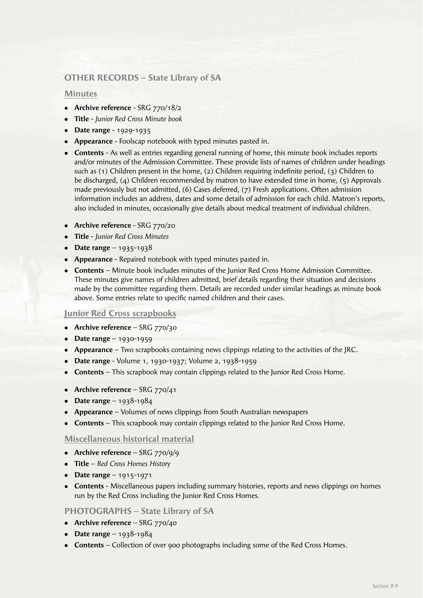# **OTHER RECORDS – State Library of SA**

#### **Minutes**

- Archive reference SRG 770/18/2
- <sup>l</sup> **Title**  *Junior Red Cross Minute book*
- **•** Date range 1929-1935
- **Appearance** Foolscap notebook with typed minutes pasted in.
- **Contents** As well as entries regarding general running of home, this minute book includes reports and/or minutes of the Admission Committee. These provide lists of names of children under headings such as  $(1)$  Children present in the home,  $(2)$  Children requiring indefinite period,  $(3)$  Children to be discharged, (4) Children recommended by matron to have extended time in home, (5) Approvals made previously but not admitted, (6) Cases deferred, (7) Fresh applications. Often admission information includes an address, dates and some details of admission for each child. Matron's reports, also included in minutes, occasionally give details about medical treatment of individual children.
- **Archive reference** SRG 770/20
- <sup>l</sup> **Title** *Junior Red Cross Minutes*
- $\bullet$  **Date range** 1935-1938
- **Appearance** Repaired notebook with typed minutes pasted in.
- **Contents** Minute book includes minutes of the Junior Red Cross Home Admission Committee. These minutes give names of children admitted, brief details regarding their situation and decisions made by the committee regarding them. Details are recorded under similar headings as minute book above. Some entries relate to specific named children and their cases.

# **Junior Red Cross scrapbooks**

- **Archive reference** SRG 770/30
- **•** Date range 1930-1959
- **Appearance** Two scrapbooks containing news clippings relating to the activities of the JRC.
- <sup>l</sup> **Date range** Volume 1, 1930-1937; Volume 2, 1938-1959
- **Contents** This scrapbook may contain clippings related to the Junior Red Cross Home.
- Archive reference SRG 770/41
- **•** Date range  $1938-1984$
- **Appearance** Volumes of news clippings from South Australian newspapers
- **Contents** This scrapbook may contain clippings related to the Junior Red Cross Home.

# **Miscellaneous historical material**

- Archive reference SRG 770/9/9
- **Title** *Red Cross Homes History*
- $\bullet$  **Date range** 1915-1971
- **Contents** Miscellaneous papers including summary histories, reports and news clippings on homes run by the Red Cross including the Junior Red Cross Homes.

# **PHOTOGRAPHS – State Library of SA**

- Archive reference SRG 770/40
- **Date range**  $1938-1984$
- **Contents** Collection of over 900 photographs including some of the Red Cross Homes.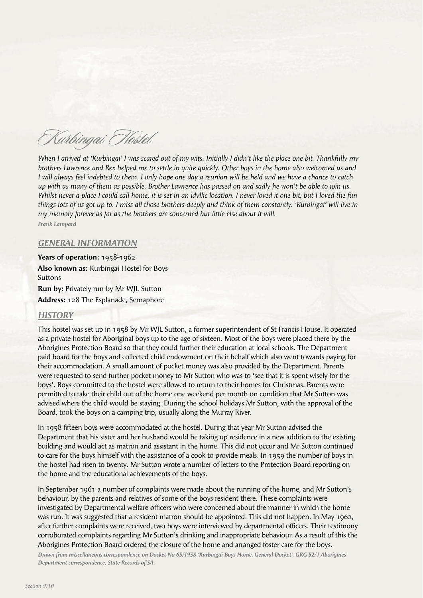Kurbingai Hostel

*When I arrived at 'Kurbingai' I was scared out of my wits. Initially I didn't like the place one bit. Thankfully my brothers Lawrence and Rex helped me to settle in quite quickly. Other boys in the home also welcomed us and I will always feel indebted to them. I only hope one day a reunion will be held and we have a chance to catch up with as many of them as possible. Brother Lawrence has passed on and sadly he won't be able to join us. Whilst never a place I could call home, it is set in an idyllic location. I never loved it one bit, but I loved the fun things lots of us got up to. I miss all those brothers deeply and think of them constantly. 'Kurbingai' will live in my memory forever as far as the brothers are concerned but little else about it will.*

*Frank Lampard*

#### *GENERAL INFORMATION*

**Years of operation:** 1958-1962 **Also known as:** Kurbingai Hostel for Boys **Suttons Run by:** Privately run by Mr WJL Sutton

**Address:** 128 The Esplanade, Semaphore

# *HISTORY*

This hostel was set up in 1958 by Mr WJL Sutton, a former superintendent of St Francis House. It operated as a private hostel for Aboriginal boys up to the age of sixteen. Most of the boys were placed there by the Aborigines Protection Board so that they could further their education at local schools. The Department paid board for the boys and collected child endowment on their behalf which also went towards paying for their accommodation. A small amount of pocket money was also provided by the Department. Parents were requested to send further pocket money to Mr Sutton who was to 'see that it is spent wisely for the boys'. Boys committed to the hostel were allowed to return to their homes for Christmas. Parents were permitted to take their child out of the home one weekend per month on condition that Mr Sutton was advised where the child would be staying. During the school holidays Mr Sutton, with the approval of the Board, took the boys on a camping trip, usually along the Murray River.

In 1958 fi fteen boys were accommodated at the hostel. During that year Mr Sutton advised the Department that his sister and her husband would be taking up residence in a new addition to the existing building and would act as matron and assistant in the home. This did not occur and Mr Sutton continued to care for the boys himself with the assistance of a cook to provide meals. In 1959 the number of boys in the hostel had risen to twenty. Mr Sutton wrote a number of letters to the Protection Board reporting on the home and the educational achievements of the boys.

In September 1961 a number of complaints were made about the running of the home, and Mr Sutton's behaviour, by the parents and relatives of some of the boys resident there. These complaints were investigated by Departmental welfare officers who were concerned about the manner in which the home was run. It was suggested that a resident matron should be appointed. This did not happen. In May 1962, after further complaints were received, two boys were interviewed by departmental officers. Their testimony corroborated complaints regarding Mr Sutton's drinking and inappropriate behaviour. As a result of this the Aborigines Protection Board ordered the closure of the home and arranged foster care for the boys.

*Drawn from miscellaneous correspondence on Docket No 65/1958 'Kurbingai Boys Home, General Docket', GRG 52/1 Aborigines Department correspondence, State Records of SA.*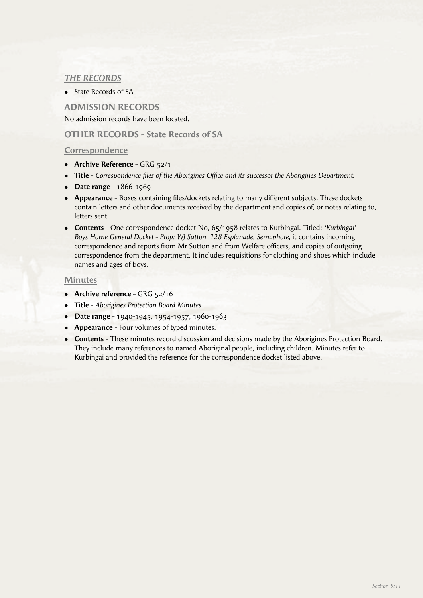# *THE RECORDS*

• State Records of SA

# **ADMISSION RECORDS**

No admission records have been located.

# **OTHER RECORDS - State Records of SA**

# **Correspondence**

- **Archive Reference** GRG 52/1
- **Title** *Correspondence files of the Aborigines Office and its successor the Aborigines Department.*
- **•** Date range 1866-1969
- Appearance Boxes containing files/dockets relating to many different subjects. These dockets contain letters and other documents received by the department and copies of, or notes relating to, letters sent.
- <sup>l</sup> **Contents** One correspondence docket No, 65/1958 relates to Kurbingai. Titled: *'Kurbingai' Boys Home General Docket - Prop: WJ Sutton, 128 Esplanade, Semaphore,* it contains incoming correspondence and reports from Mr Sutton and from Welfare officers, and copies of outgoing correspondence from the department. It includes requisitions for clothing and shoes which include names and ages of boys.

# **Minutes**

- **Archive reference** GRG 52/16
- <sup>l</sup> **Title**  *Aborigines Protection Board Minutes*
- <sup>l</sup> **Date range** 1940-1945, 1954-1957, 1960-1963
- **Appearance** Four volumes of typed minutes.
- **Contents** These minutes record discussion and decisions made by the Aborigines Protection Board. They include many references to named Aboriginal people, including children. Minutes refer to Kurbingai and provided the reference for the correspondence docket listed above.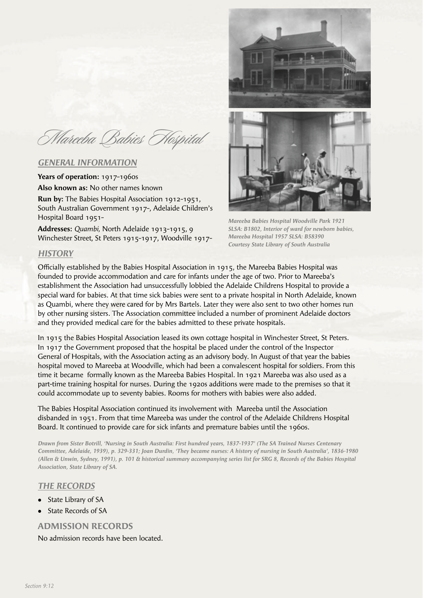Mareeba Babies Hospital

#### *GENERAL INFORMATION*

**Years of operation:** 1917-1960s **Also known as:** No other names known **Run by:** The Babies Hospital Association 1912-1951,

South Australian Government 1917-, Adelaide Children's Hospital Board 1951-

**Addresses:** *Quambi,* North Adelaide 1913-1915, 9 Winchester Street, St Peters 1915-1917, Woodville 1917-





*Mareeba Babies Hospital Woodville Park 1921 SLSA: B1802, Interior of ward for newborn babies, Mareeba Hospital 1957 SLSA: B58390 Courtesy State Library of South Australia*

#### *HISTORY*

Officially established by the Babies Hospital Association in 1915, the Mareeba Babies Hospital was founded to provide accommodation and care for infants under the age of two. Prior to Mareeba's establishment the Association had unsuccessfully lobbied the Adelaide Childrens Hospital to provide a special ward for babies. At that time sick babies were sent to a private hospital in North Adelaide, known as Quambi, where they were cared for by Mrs Bartels. Later they were also sent to two other homes run by other nursing sisters. The Association committee included a number of prominent Adelaide doctors and they provided medical care for the babies admitted to these private hospitals.

In 1915 the Babies Hospital Association leased its own cottage hospital in Winchester Street, St Peters. In 1917 the Government proposed that the hospital be placed under the control of the Inspector General of Hospitals, with the Association acting as an advisory body. In August of that year the babies hospital moved to Mareeba at Woodville, which had been a convalescent hospital for soldiers. From this time it became formally known as the Mareeba Babies Hospital. In 1921 Mareeba was also used as a part-time training hospital for nurses. During the 1920s additions were made to the premises so that it could accommodate up to seventy babies. Rooms for mothers with babies were also added.

The Babies Hospital Association continued its involvement with Mareeba until the Association disbanded in 1951. From that time Mareeba was under the control of the Adelaide Childrens Hospital Board. It continued to provide care for sick infants and premature babies until the 1960s.

*Drawn from Sister Botrill, 'Nursing in South Australia: First hundred years, 1837-1937' (The SA Trained Nurses Centenary Committee, Adelaide, 1939), p. 329-331; Joan Durdin, 'They became nurses: A history of nursing in South Australia', 1836-1980 (Allen & Unwin, Sydney, 1991), p. 101 & historical summary accompanying series list for SRG 8, Records of the Babies Hospital Association, State Library of SA.*

#### *THE RECORDS*

- State Library of SA
- State Records of SA

# **ADMISSION RECORDS**

No admission records have been located.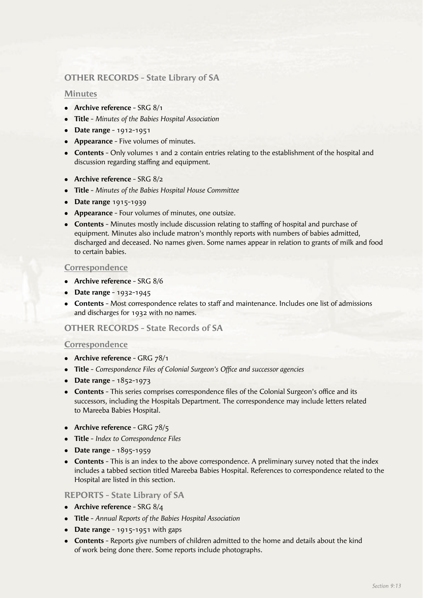# **OTHER RECORDS - State Library of SA**

#### **Minutes**

- **Archive reference** SRG 8/1
- <sup>l</sup> **Title** *Minutes of the Babies Hospital Association*
- **•** Date range 1912-1951
- **Appearance** Five volumes of minutes.
- **Contents** Only volumes 1 and 2 contain entries relating to the establishment of the hospital and discussion regarding staffing and equipment.
- **Archive reference** SRG 8/2
- <sup>l</sup> **Title** *Minutes of the Babies Hospital House Committee*
- **•** Date range 1915-1939
- **Appearance** Four volumes of minutes, one outsize.
- **Contents** Minutes mostly include discussion relating to staffing of hospital and purchase of equipment. Minutes also include matron's monthly reports with numbers of babies admitted, discharged and deceased. No names given. Some names appear in relation to grants of milk and food to certain babies.

## **Correspondence**

- **Archive reference** SRG 8/6
- **•** Date range 1932-1945
- **Contents** Most correspondence relates to staff and maintenance. Includes one list of admissions and discharges for 1932 with no names.

# **OTHER RECORDS - State Records of SA**

#### **Correspondence**

- **Archive reference** GRG 78/1
- **Title** *Correspondence Files of Colonial Surgeon's Office and successor agencies*
- **•** Date range 1852-1973
- **Contents** This series comprises correspondence files of the Colonial Surgeon's office and its successors, including the Hospitals Department. The correspondence may include letters related to Mareeba Babies Hospital.
- **•** Archive reference GRG 78/5
- **•** Title *Index to Correspondence Files*
- **•** Date range 1895-1959
- **Contents** This is an index to the above correspondence. A preliminary survey noted that the index includes a tabbed section titled Mareeba Babies Hospital. References to correspondence related to the Hospital are listed in this section.

#### **REPORTS - State Library of SA**

- Archive reference SRG 8/4
- <sup>l</sup> **Title** *Annual Reports of the Babies Hospital Association*
- Date range 1915-1951 with gaps
- **Contents** Reports give numbers of children admitted to the home and details about the kind of work being done there. Some reports include photographs.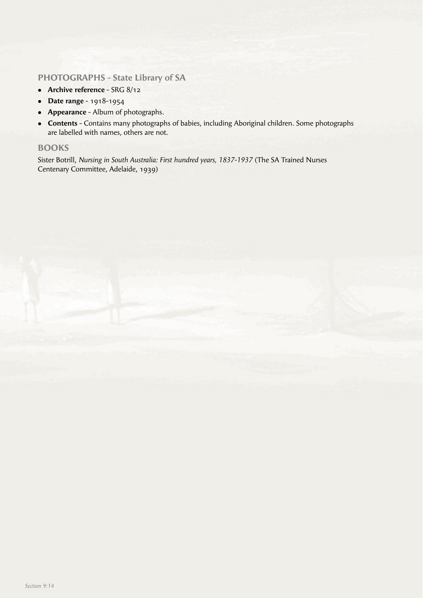# **PHOTOGRAPHS - State Library of SA**

- Archive reference SRG 8/12
- <sup>l</sup> **Date range**  1918-1954
- **Appearance** Album of photographs.
- **Contents** Contains many photographs of babies, including Aboriginal children. Some photographs are labelled with names, others are not.

# **BOOKS**

Sister Botrill, *Nursing in South Australia: First hundred years, 1837-1937* (The SA Trained Nurses Centenary Committee, Adelaide, 1939)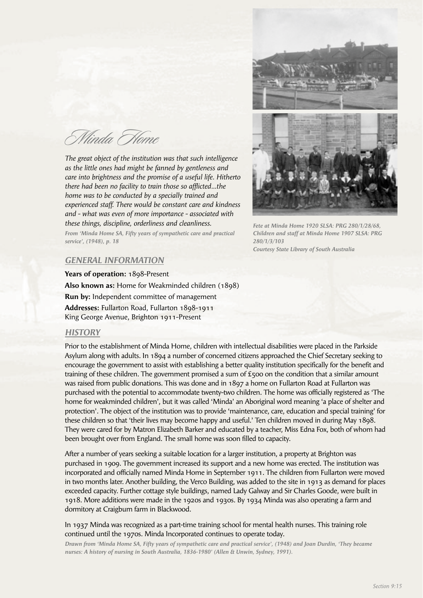Minda Home

*The great object of the institution was that such intelligence as the little ones had might be fanned by gentleness and care into brightness and the promise of a useful life. Hitherto there had been no facility to train those so afflicted...the home was to be conducted by a specially trained and experienced staff. There would be constant care and kindness and - what was even of more importance - associated with these things, discipline, orderliness and cleanliness.*

*From 'Minda Home SA, Fifty years of sympathetic care and practical service', (1948), p. 18*



*Fete at Minda Home 1920 SLSA: PRG 280/1/28/68, Children and staff at Minda Home 1907 SLSA: PRG 280/1/3/103 Courtesy State Library of South Australia*

#### *GENERAL INFORMATION*

**Years of operation:** 1898-Present **Also known as:** Home for Weakminded children (1898) **Run by:** Independent committee of management **Addresses:** Fullarton Road, Fullarton 1898-1911 King George Avenue, Brighton 1911-Present

#### *HISTORY*

Prior to the establishment of Minda Home, children with intellectual disabilities were placed in the Parkside Asylum along with adults. In 1894 a number of concerned citizens approached the Chief Secretary seeking to encourage the government to assist with establishing a better quality institution specifically for the benefit and training of these children. The government promised a sum of  $\epsilon$ 500 on the condition that a similar amount was raised from public donations. This was done and in 1897 a home on Fullarton Road at Fullarton was purchased with the potential to accommodate twenty-two children. The home was officially registered as 'The home for weakminded children', but it was called 'Minda' an Aboriginal word meaning 'a place of shelter and protection'. The object of the institution was to provide 'maintenance, care, education and special training' for these children so that 'their lives may become happy and useful.' Ten children moved in during May 1898. They were cared for by Matron Elizabeth Barker and educated by a teacher, Miss Edna Fox, both of whom had been brought over from England. The small home was soon filled to capacity.

After a number of years seeking a suitable location for a larger institution, a property at Brighton was purchased in 1909. The government increased its support and a new home was erected. The institution was incorporated and officially named Minda Home in September 1911. The children from Fullarton were moved in two months later. Another building, the Verco Building, was added to the site in 1913 as demand for places exceeded capacity. Further cottage style buildings, named Lady Galway and Sir Charles Goode, were built in 1918. More additions were made in the 1920s and 1930s. By 1934 Minda was also operating a farm and dormitory at Craigburn farm in Blackwood.

#### In 1937 Minda was recognized as a part-time training school for mental health nurses. This training role continued until the 1970s. Minda Incorporated continues to operate today.

*Drawn from 'Minda Home SA, Fifty years of sympathetic care and practical service', (1948) and Joan Durdin, 'They became nurses: A history of nursing in South Australia, 1836-1980' (Allen & Unwin, Sydney, 1991).*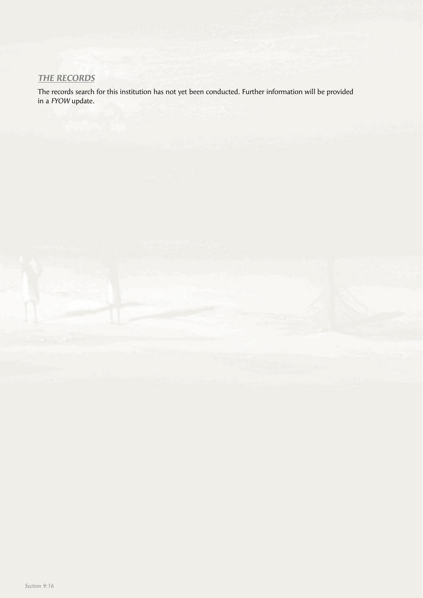# *THE RECORDS*

The records search for this institution has not yet been conducted. Further information will be provided in a *FYOW* update.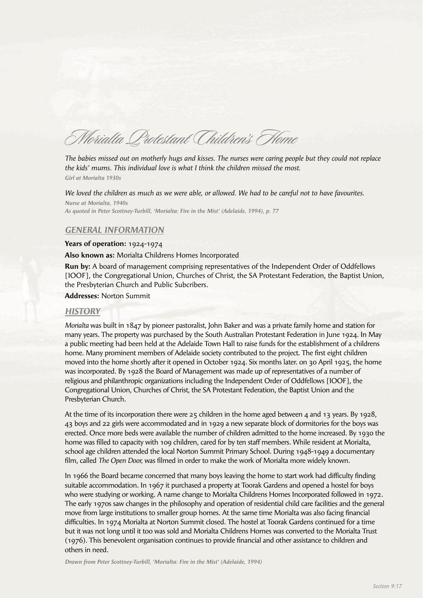Morialta Protestant Children's Home

*The babies missed out on motherly hugs and kisses. The nurses were caring people but they could not replace the kids' mums. This individual love is what I think the children missed the most. Girl at Morialta 1930s*

*We loved the children as much as we were able, or allowed. We had to be careful not to have favourites. Nurse at Morialta, 1940s As quoted in Peter Scottney-Turbill, 'Morialta: Fire in the Mist' (Adelaide, 1994), p. 77*

# *GENERAL INFORMATION*

#### **Years of operation:** 1924-1974

**Also known as:** Morialta Childrens Homes Incorporated

**Run by:** A board of management comprising representatives of the Independent Order of Oddfellows [IOOF], the Congregational Union, Churches of Christ, the SA Protestant Federation, the Baptist Union, the Presbyterian Church and Public Subcribers.

#### **Addresses:** Norton Summit

#### *HISTORY*

*Morialta* was built in 1847 by pioneer pastoralist, John Baker and was a private family home and station for many years. The property was purchased by the South Australian Protestant Federation in June 1924. In May a public meeting had been held at the Adelaide Town Hall to raise funds for the establishment of a childrens home. Many prominent members of Adelaide society contributed to the project. The first eight children moved into the home shortly after it opened in October 1924. Six months later. on 30 April 1925, the home was incorporated. By 1928 the Board of Management was made up of representatives of a number of religious and philanthropic organizations including the Independent Order of Oddfellows [IOOF], the Congregational Union, Churches of Christ, the SA Protestant Federation, the Baptist Union and the Presbyterian Church.

At the time of its incorporation there were  $25$  children in the home aged between 4 and 13 years. By 1928, 43 boys and 22 girls were accommodated and in 1929 a new separate block of dormitories for the boys was erected. Once more beds were available the number of children admitted to the home increased. By 1930 the home was filled to capacity with 109 children, cared for by ten staff members. While resident at Morialta, school age children attended the local Norton Summit Primary School. During 1948-1949 a documentary film, called *The Open Door,* was filmed in order to make the work of Morialta more widely known.

In 1966 the Board became concerned that many boys leaving the home to start work had difficulty finding suitable accommodation. In 1967 it purchased a property at Toorak Gardens and opened a hostel for boys who were studying or working. A name change to Morialta Childrens Homes Incorporated followed in 1972. The early 1970s saw changes in the philosophy and operation of residential child care facilities and the general move from large institutions to smaller group homes. At the same time Morialta was also facing financial difficulties. In 1974 Morialta at Norton Summit closed. The hostel at Toorak Gardens continued for a time but it was not long until it too was sold and Morialta Childrens Homes was converted to the Morialta Trust (1976). This benevolent organisation continues to provide financial and other assistance to children and others in need.

*Drawn from Peter Scottney-Turbill, 'Morialta: Fire in the Mist' (Adelaide, 1994)*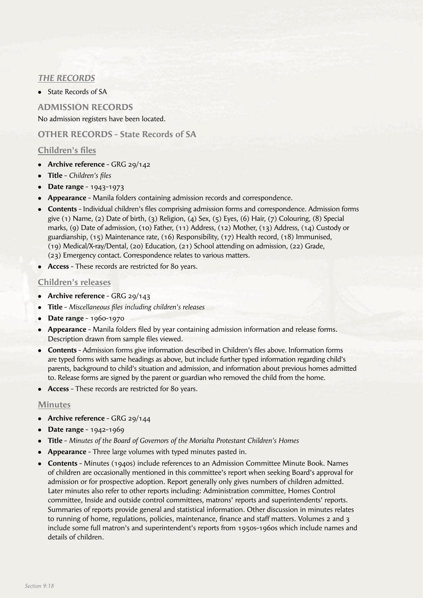# *THE RECORDS*

• State Records of SA

**ADMISSION RECORDS** No admission registers have been located.

# **OTHER RECORDS - State Records of SA**

# **Children's files**

- **•** Archive reference GRG 29/142
- Title *Children's files*
- **•** Date range 1943-1973
- **Appearance** Manila folders containing admission records and correspondence.
- **Contents** Individual children's files comprising admission forms and correspondence. Admission forms give (1) Name, (2) Date of birth, (3) Religion, (4) Sex, (5) Eyes, (6) Hair, (7) Colouring, (8) Special marks, (9) Date of admission, (10) Father, (11) Address, (12) Mother, (13) Address, (14) Custody or guardianship, (15) Maintenance rate, (16) Responsibility, (17) Health record, (18) Immunised, (19) Medical/X-ray/Dental, (20) Education, (21) School attending on admission, (22) Grade, (23) Emergency contact. Correspondence relates to various matters.
- **Access** These records are restricted for 80 years.

# **Children's releases**

- **Archive reference** GRG 29/143
- **Title** *Miscellaneous files including children's releases*
- **•** Date range 1960-1970
- **Appearance** Manila folders filed by year containing admission information and release forms. Description drawn from sample files viewed.
- **Contents** Admission forms give information described in Children's files above. Information forms are typed forms with same headings as above, but include further typed information regarding child's parents, background to child's situation and admission, and information about previous homes admitted to. Release forms are signed by the parent or guardian who removed the child from the home.
- **Access** These records are restricted for 80 years.

# **Minutes**

- Archive reference GRG 29/144
- **•** Date range 1942-1969
- **Title** *Minutes of the Board of Governors of the Morialta Protestant Children's Homes*
- **Appearance** Three large volumes with typed minutes pasted in.
- **Contents Minutes (1940s) include references to an Admission Committee Minute Book. Names** of children are occasionally mentioned in this committee's report when seeking Board's approval for admission or for prospective adoption. Report generally only gives numbers of children admitted. Later minutes also refer to other reports including: Administration committee, Homes Control committee, Inside and outside control committees, matrons' reports and superintendents' reports. Summaries of reports provide general and statistical information. Other discussion in minutes relates to running of home, regulations, policies, maintenance, finance and staff matters. Volumes 2 and 3 include some full matron's and superintendent's reports from 1950s-1960s which include names and details of children.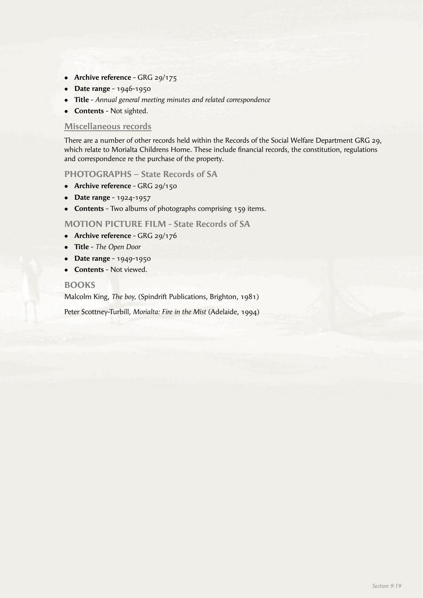- **Archive reference** GRG 29/175
- **•** Date range 1946-1950
- <sup>l</sup> **Title** *Annual general meeting minutes and related correspondence*
- **Contents** Not sighted.

#### **Miscellaneous records**

There are a number of other records held within the Records of the Social Welfare Department GRG 29, which relate to Morialta Childrens Home. These include financial records, the constitution, regulations and correspondence re the purchase of the property.

#### **PHOTOGRAPHS – State Records of SA**

- **•** Archive reference GRG 29/150
- **•** Date range 1924-1957
- **Contents** Two albums of photographs comprising 159 items.

**MOTION PICTURE FILM - State Records of SA**

- **Archive reference** GRG 29/176
- <sup>l</sup> **Title** *The Open Door*
- **•** Date range 1949-1950
- **Contents** Not viewed.

#### **BOOKS**

Malcolm King, *The boy,* (Spindrift Publications, Brighton, 1981)

Peter Scottney-Turbill, *Morialta: Fire in the Mist* (Adelaide, 1994)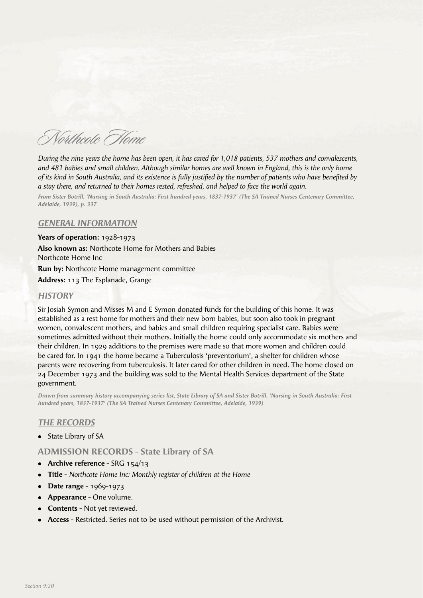Northcote Home

*During the nine years the home has been open, it has cared for 1,018 patients, 537 mothers and convalescents, and 481 babies and small children. Although similar homes are well known in England, this is the only home of its kind in South Australia, and its existence is fully justified by the number of patients who have benefited by a stay there, and returned to their homes rested, refreshed, and helped to face the world again.*

*From Sister Botrill, 'Nursing in South Australia: First hundred years, 1837-1937' (The SA Trained Nurses Centenary Committee, Adelaide, 1939), p. 337*

#### *GENERAL INFORMATION*

**Years of operation:** 1928-1973 **Also known as:** Northcote Home for Mothers and Babies Northcote Home Inc

**Run by:** Northcote Home management committee

**Address:** 113 The Esplanade, Grange

# *HISTORY*

Sir Josiah Symon and Misses M and E Symon donated funds for the building of this home. It was established as a rest home for mothers and their new born babies, but soon also took in pregnant women, convalescent mothers, and babies and small children requiring specialist care. Babies were sometimes admitted without their mothers. Initially the home could only accommodate six mothers and their children. In 1929 additions to the premises were made so that more women and children could be cared for. In 1941 the home became a Tuberculosis 'preventorium', a shelter for children whose parents were recovering from tuberculosis. It later cared for other children in need. The home closed on 24 December 1973 and the building was sold to the Mental Health Services department of the State government.

*Drawn from summary history accompanying series list, State Library of SA and Sister Botrill, 'Nursing in South Australia: First hundred years, 1837-1937' (The SA Trained Nurses Centenary Committee, Adelaide, 1939)*

#### *THE RECORDS*

• State Library of SA

**ADMISSION RECORDS - State Library of SA**

- **•** Archive reference SRG 154/13
- **Title** *Northcote Home Inc: Monthly register of children at the Home*
- **•** Date range 1969-1973
- **Appearance** One volume.
- **Contents** Not yet reviewed.
- <sup>l</sup> **Access** Restricted. Series not to be used without permission of the Archivist.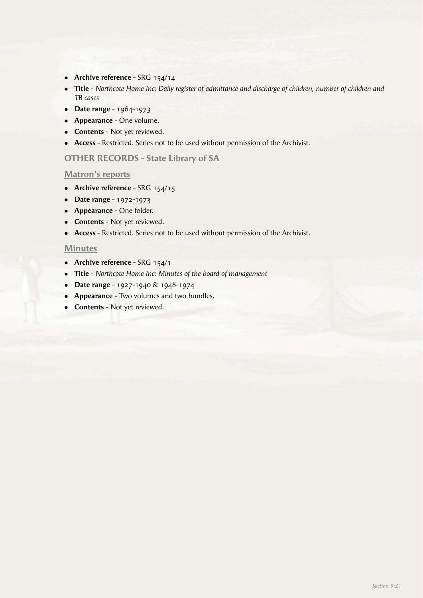- Archive reference SRG 154/14
- <sup>l</sup> **Title**  *Northcote Home Inc: Daily register of admittance and discharge of children, number of children and TB cases*
- **•** Date range 1964-1973
- **Appearance** One volume.
- **Contents** Not yet reviewed.
- **Access** Restricted. Series not to be used without permission of the Archivist.

# **OTHER RECORDS - State Library of SA**

#### **Matron's reports**

- **•** Archive reference SRG 154/15
- **•** Date range 1972-1973
- **•** Appearance One folder.
- **Contents** Not yet reviewed.
- **Access** Restricted. Series not to be used without permission of the Archivist.

#### **Minutes**

- **Archive reference** SRG 154/1
- <sup>l</sup> **Title** *Northcote Home Inc: Minutes of the board of management*
- **•** Date range 1927-1940 & 1948-1974
- **Appearance** Two volumes and two bundles.
- **Contents** Not yet reviewed.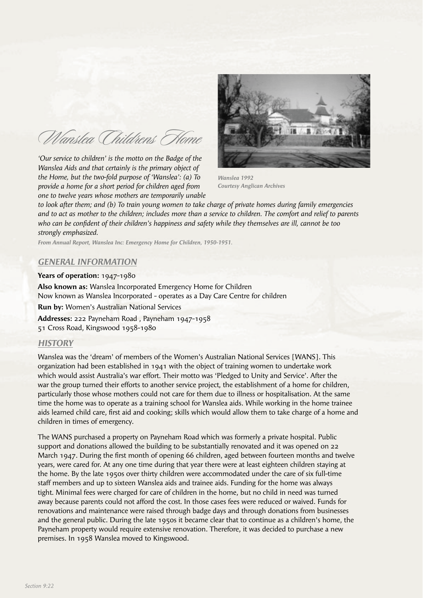Wanslea Childrens Home

*'Our service to children' is the motto on the Badge of the Wanslea Aids and that certainly is the primary object of the Home, but the two-fold purpose of 'Wanslea': (a) To provide a home for a short period for children aged from one to twelve years whose mothers are temporarily unable* 



*Wanslea 1992 Courtesy Anglican Archives*

*to look after them; and (b) To train young women to take charge of private homes during family emergencies and to act as mother to the children; includes more than a service to children. The comfort and relief to parents who can be confident of their children's happiness and safety while they themselves are ill, cannot be too strongly emphasized.*

*From Annual Report, Wanslea Inc: Emergency Home for Children, 1950-1951.*

#### *GENERAL INFORMATION*

**Years of operation:** 1947-1980 **Also known as:** Wanslea Incorporated Emergency Home for Children Now known as Wanslea Incorporated - operates as a Day Care Centre for children **Run by:** Women's Australian National Services **Addresses:** 222 Payneham Road , Payneham 1947-1958 51 Cross Road, Kingswood 1958-1980

#### *HISTORY*

Wanslea was the 'dream' of members of the Women's Australian National Services [WANS]. This organization had been established in 1941 with the object of training women to undertake work which would assist Australia's war effort. Their motto was 'Pledged to Unity and Service'. After the war the group turned their efforts to another service project, the establishment of a home for children, particularly those whose mothers could not care for them due to illness or hospitalisation. At the same time the home was to operate as a training school for Wanslea aids. While working in the home trainee aids learned child care, first aid and cooking; skills which would allow them to take charge of a home and children in times of emergency.

The WANS purchased a property on Payneham Road which was formerly a private hospital. Public support and donations allowed the building to be substantially renovated and it was opened on 22 March 1947. During the first month of opening 66 children, aged between fourteen months and twelve years, were cared for. At any one time during that year there were at least eighteen children staying at the home. By the late 1950s over thirty children were accommodated under the care of six full-time staff members and up to sixteen Wanslea aids and trainee aids. Funding for the home was always tight. Minimal fees were charged for care of children in the home, but no child in need was turned away because parents could not afford the cost. In those cases fees were reduced or waived. Funds for renovations and maintenance were raised through badge days and through donations from businesses and the general public. During the late 1950s it became clear that to continue as a children's home, the Payneham property would require extensive renovation. Therefore, it was decided to purchase a new premises. In 1958 Wanslea moved to Kingswood.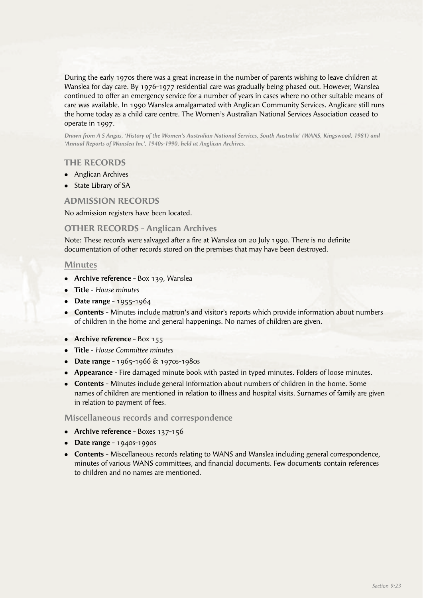During the early 1970s there was a great increase in the number of parents wishing to leave children at Wanslea for day care. By 1976-1977 residential care was gradually being phased out. However, Wanslea continued to offer an emergency service for a number of years in cases where no other suitable means of care was available. In 1990 Wanslea amalgamated with Anglican Community Services. Anglicare still runs the home today as a child care centre. The Women's Australian National Services Association ceased to operate in 1997.

*Drawn from A S Angas, 'History of the Women's Australian National Services, South Australia' (WANS, Kingswood, 1981) and 'Annual Reports of Wanslea Inc', 1940s-1990, held at Anglican Archives.*

# **THE RECORDS**

- Anglican Archives
- State Library of SA

#### **ADMISSION RECORDS**

No admission registers have been located.

#### **OTHER RECORDS - Anglican Archives**

Note: These records were salvaged after a fire at Wanslea on 20 July 1990. There is no definite documentation of other records stored on the premises that may have been destroyed.

#### **Minutes**

- **Archive reference** Box 139, Wanslea
- <sup>l</sup> **Title** *House minutes*
- **•** Date range 1955-1964
- **Contents** Minutes include matron's and visitor's reports which provide information about numbers of children in the home and general happenings. No names of children are given.
- **Archive reference** Box 155
- <sup>l</sup> **Title** *House Committee minutes*
- **•** Date range 1965-1966 & 1970s-1980s
- **Appearance** Fire damaged minute book with pasted in typed minutes. Folders of loose minutes.
- **Contents** Minutes include general information about numbers of children in the home. Some names of children are mentioned in relation to illness and hospital visits. Surnames of family are given in relation to payment of fees.

#### **Miscellaneous records and correspondence**

- Archive reference Boxes 137-156
- **•** Date range 1940s-1990s
- **Contents** Miscellaneous records relating to WANS and Wanslea including general correspondence, minutes of various WANS committees, and financial documents. Few documents contain references to children and no names are mentioned.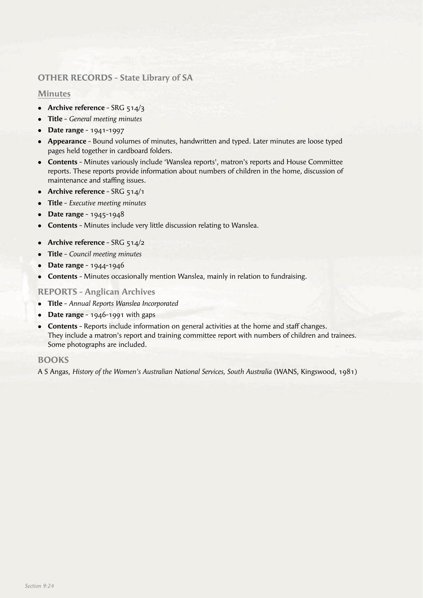# **OTHER RECORDS - State Library of SA**

# **Minutes**

- **Archive reference** SRG 514/3
- <sup>l</sup> **Title** *General meeting minutes*
- <sup>l</sup> **Date range**  1941-1997
- **Appearance** Bound volumes of minutes, handwritten and typed. Later minutes are loose typed pages held together in cardboard folders.
- **Contents** Minutes variously include 'Wanslea reports', matron's reports and House Committee reports. These reports provide information about numbers of children in the home, discussion of maintenance and staffing issues.
- **•** Archive reference SRG 514/1
- **Title** *Executive meeting minutes*
- **•** Date range 1945-1948
- **Contents** Minutes include very little discussion relating to Wanslea.
- Archive reference SRG 514/2
- <sup>l</sup> **Title** *Council meeting minutes*
- **•** Date range 1944-1946
- **Contents** Minutes occasionally mention Wanslea, mainly in relation to fundraising.

# **REPORTS - Anglican Archives**

- <sup>l</sup> **Title**  *Annual Reports Wanslea Incorporated*
- $\bullet$  **Date range** 1946-1991 with gaps
- **Contents** Reports include information on general activities at the home and staff changes. They include a matron's report and training committee report with numbers of children and trainees. Some photographs are included.

# **BOOKS**

A S Angas, *History of the Women's Australian National Services, South Australia* (WANS, Kingswood, 1981)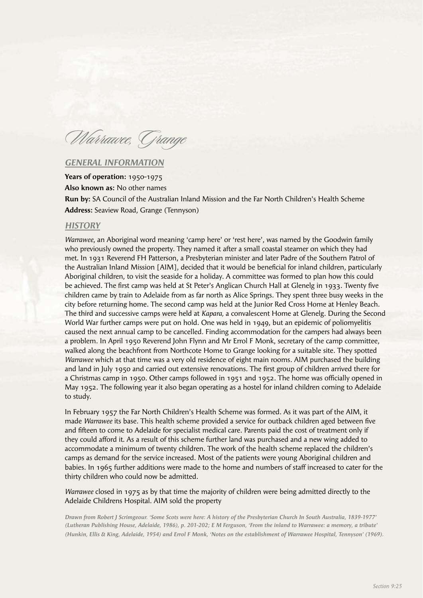Warrawee, Grange

#### *GENERAL INFORMATION*

**Years of operation:** 1950-1975 **Also known as:** No other names **Run by:** SA Council of the Australian Inland Mission and the Far North Children's Health Scheme **Address:** Seaview Road, Grange (Tennyson)

#### *HISTORY*

*Warrawee*, an Aboriginal word meaning 'camp here' or 'rest here', was named by the Goodwin family who previously owned the property. They named it after a small coastal steamer on which they had met. In 1931 Reverend FH Patterson, a Presbyterian minister and later Padre of the Southern Patrol of the Australian Inland Mission [AIM], decided that it would be beneficial for inland children, particularly Aboriginal children, to visit the seaside for a holiday. A committee was formed to plan how this could be achieved. The first camp was held at St Peter's Anglican Church Hall at Glenelg in 1933. Twenty five children came by train to Adelaide from as far north as Alice Springs. They spent three busy weeks in the city before returning home. The second camp was held at the Junior Red Cross Home at Henley Beach. The third and successive camps were held at *Kapara,* a convalescent Home at Glenelg. During the Second World War further camps were put on hold. One was held in 1949, but an epidemic of poliomyelitis caused the next annual camp to be cancelled. Finding accommodation for the campers had always been a problem. In April 1950 Reverend John Flynn and Mr Errol F Monk, secretary of the camp committee, walked along the beachfront from Northcote Home to Grange looking for a suitable site. They spotted *Warrawee* which at that time was a very old residence of eight main rooms. AIM purchased the building and land in July 1950 and carried out extensive renovations. The first group of children arrived there for a Christmas camp in 1950. Other camps followed in 1951 and 1952. The home was officially opened in May 1952. The following year it also began operating as a hostel for inland children coming to Adelaide to study.

In February 1957 the Far North Children's Health Scheme was formed. As it was part of the AIM, it made *Warrawee* its base. This health scheme provided a service for outback children aged between five and fifteen to come to Adelaide for specialist medical care. Parents paid the cost of treatment only if they could afford it. As a result of this scheme further land was purchased and a new wing added to accommodate a minimum of twenty children. The work of the health scheme replaced the children's camps as demand for the service increased. Most of the patients were young Aboriginal children and babies. In 1965 further additions were made to the home and numbers of staff increased to cater for the thirty children who could now be admitted.

*Warrawee* closed in 1975 as by that time the majority of children were being admitted directly to the Adelaide Childrens Hospital. AIM sold the property

*Drawn from Robert J Scrimgeour. 'Some Scots were here: A history of the Presbyterian Church In South Australia, 1839-1977' (Lutheran Publishing House, Adelaide, 1986), p. 201-202; E M Ferguson, 'From the inland to Warrawee: a memory, a tribute' (Hunkin, Ellis & King, Adelaide, 1954) and Errol F Monk, 'Notes on the establishment of Warrawee Hospital, Tennyson' (1969).*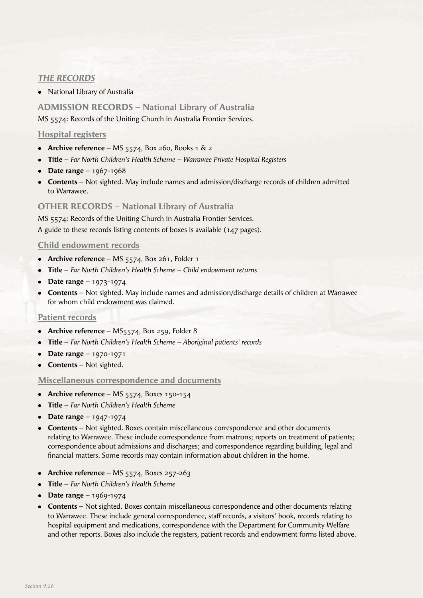# *THE RECORDS*

• National Library of Australia

# **ADMISSION RECORDS – National Library of Australia** MS 5574: Records of the Uniting Church in Australia Frontier Services.

# **Hospital registers**

- Archive reference MS 5574, Box 260, Books 1  $\&$  2
- **Title** *Far North Children's Health Scheme* Warrawee Private Hospital Registers
- Date range  $1967 1968$
- **Contents** Not sighted. May include names and admission/discharge records of children admitted to Warrawee.

# **OTHER RECORDS – National Library of Australia**

MS 5574: Records of the Uniting Church in Australia Frontier Services. A guide to these records listing contents of boxes is available (147 pages).

# **Child endowment records**

- **Archive reference** MS 5574, Box 261, Folder 1
- <sup>l</sup> **Title** *Far North Children's Health Scheme Child endowment returns*
- **•** Date range 1973-1974
- **Contents** Not sighted. May include names and admission/discharge details of children at Warrawee for whom child endowment was claimed.

# **Patient records**

- **Archive reference** MS5574, Box 259, Folder 8
- **Title** *Far North Children's Health Scheme* Aboriginal patients' records
- **•** Date range 1970-1971
- **Contents** Not sighted.

# **Miscellaneous correspondence and documents**

- Archive reference MS 5574, Boxes 150-154
- <sup>l</sup> **Title** *Far North Children's Health Scheme*
- Date range  $1947-1974$
- **Contents** Not sighted. Boxes contain miscellaneous correspondence and other documents relating to Warrawee. These include correspondence from matrons; reports on treatment of patients; correspondence about admissions and discharges; and correspondence regarding building, legal and financial matters. Some records may contain information about children in the home.
- Archive reference MS  $5574$ , Boxes  $257-263$
- <sup>l</sup> **Title** *Far North Children's Health Scheme*
- Date range  $1969 1974$
- **Contents** Not sighted. Boxes contain miscellaneous correspondence and other documents relating to Warrawee. These include general correspondence, staff records, a visitors' book, records relating to hospital equipment and medications, correspondence with the Department for Community Welfare and other reports. Boxes also include the registers, patient records and endowment forms listed above.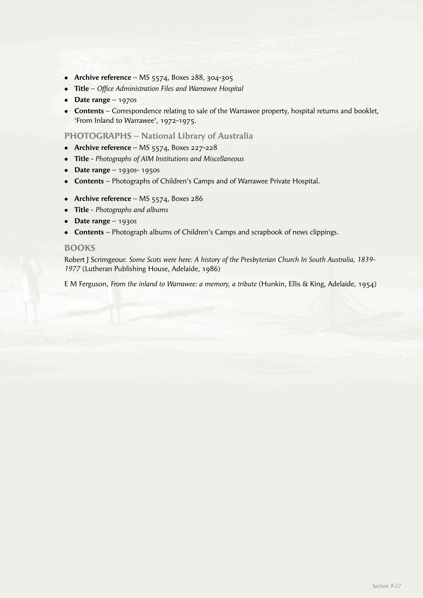- **•** Archive reference MS 5574, Boxes 288, 304-305
- **Title** *Office Administration Files and Warrawee Hospital*
- **•** Date range 1970s
- **Contents** Correspondence relating to sale of the Warrawee property, hospital returns and booklet, 'From Inland to Warrawee', 1972-1975.

#### **PHOTOGRAPHS – National Library of Australia**

- **Archive reference** MS 5574, Boxes 227-228
- <sup>l</sup> **Title** *Photographs of AIM Institutions and Miscellaneous*
- **•** Date range 1930s- 1950s
- **Contents** Photographs of Children's Camps and of Warrawee Private Hospital.
- Archive reference MS 5574, Boxes 286
- <sup>l</sup> **Title** *Photographs and albums*
- **•** Date range 1930s
- **Contents** Photograph albums of Children's Camps and scrapbook of news clippings.

#### **BOOKS**

Robert J Scrimgeour. *Some Scots were here: A history of the Presbyterian Church In South Australia, 1839- 1977* (Lutheran Publishing House, Adelaide, 1986)

E M Ferguson, *From the inland to Warrawee: a memory, a tribute* (Hunkin, Ellis & King, Adelaide, 1954)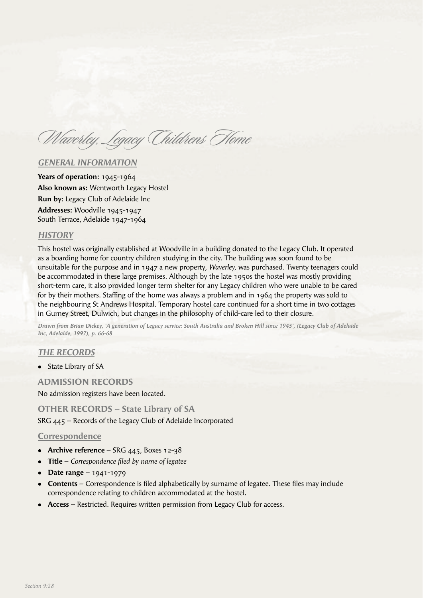Waverley, Legacy Childrens Home

#### *GENERAL INFORMATION*

**Years of operation:** 1945-1964 **Also known as:** Wentworth Legacy Hostel **Run by:** Legacy Club of Adelaide Inc **Addresses:** Woodville 1945-1947 South Terrace, Adelaide 1947-1964

### *HISTORY*

This hostel was originally established at Woodville in a building donated to the Legacy Club. It operated as a boarding home for country children studying in the city. The building was soon found to be unsuitable for the purpose and in 1947 a new property, *Waverley,* was purchased. Twenty teenagers could be accommodated in these large premises. Although by the late 1950s the hostel was mostly providing short-term care, it also provided longer term shelter for any Legacy children who were unable to be cared for by their mothers. Staffing of the home was always a problem and in  $1964$  the property was sold to the neighbouring St Andrews Hospital. Temporary hostel care continued for a short time in two cottages in Gurney Street, Dulwich, but changes in the philosophy of child-care led to their closure.

*Drawn from Brian Dickey, 'A generation of Legacy service: South Australia and Broken Hill since 1945', (Legacy Club of Adelaide Inc, Adelaide, 1997), p. 66-68*

# *THE RECORDS*

• State Library of SA

#### **ADMISSION RECORDS**

No admission registers have been located.

**OTHER RECORDS – State Library of SA** SRG 445 – Records of the Legacy Club of Adelaide Incorporated

#### **Correspondence**

- Archive reference SRG 445, Boxes 12-38
- **Title** *Correspondence filed by name of legatee*
- $\bullet$  **Date range** 1941-1979
- **Contents** Correspondence is filed alphabetically by surname of legatee. These files may include correspondence relating to children accommodated at the hostel.
- **Access** Restricted. Requires written permission from Legacy Club for access.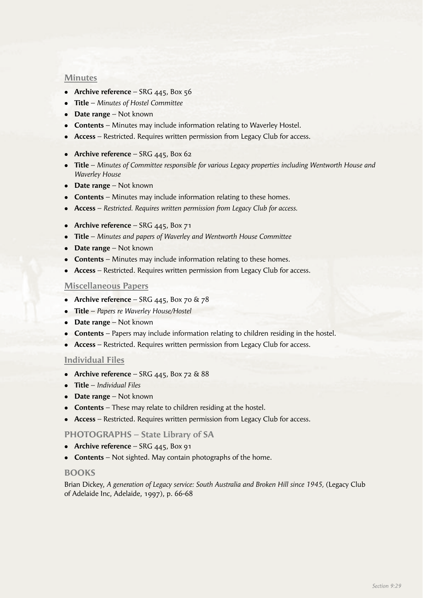#### **Minutes**

- **Archive reference** SRG 445, Box 56
- <sup>l</sup> **Title** *Minutes of Hostel Committee*
- **Date range** Not known
- **Contents** Minutes may include information relating to Waverley Hostel.
- **Access** Restricted. Requires written permission from Legacy Club for access.

#### **• Archive reference** – SRG 445, Box 62

- <sup>l</sup> **Title** *Minutes of Committee responsible for various Legacy properties including Wentworth House and Waverley House*
- **Date range** Not known
- **Contents** Minutes may include information relating to these homes.
- **Access** *Restricted. Requires written permission from Legacy Club for access.*
- Archive reference SRG 445, Box 71
- **Title** *Minutes and papers of Waverley and Wentworth House Committee*
- **Date range** Not known
- **Contents** Minutes may include information relating to these homes.
- **Access** Restricted. Requires written permission from Legacy Club for access.

#### **Miscellaneous Papers**

- **Archive reference** SRG  $445$ , Box 70 & 78
- <sup>l</sup> **Title**  *Papers re Waverley House/Hostel*
- **Date range** Not known
- **Contents** Papers may include information relating to children residing in the hostel.
- **Access** Restricted. Requires written permission from Legacy Club for access.

#### **Individual Files**

- Archive reference SRG  $445$ , Box 72 & 88
- <sup>l</sup> **Title** *Individual Files*
- **Date range** Not known
- **Contents** These may relate to children residing at the hostel.
- **Access** Restricted. Requires written permission from Legacy Club for access.

#### **PHOTOGRAPHS – State Library of SA**

- **•** Archive reference SRG 445, Box 91
- **Contents** Not sighted. May contain photographs of the home.

#### **BOOKS**

Brian Dickey, *A generation of Legacy service: South Australia and Broken Hill since 1945,* (Legacy Club of Adelaide Inc, Adelaide, 1997), p. 66-68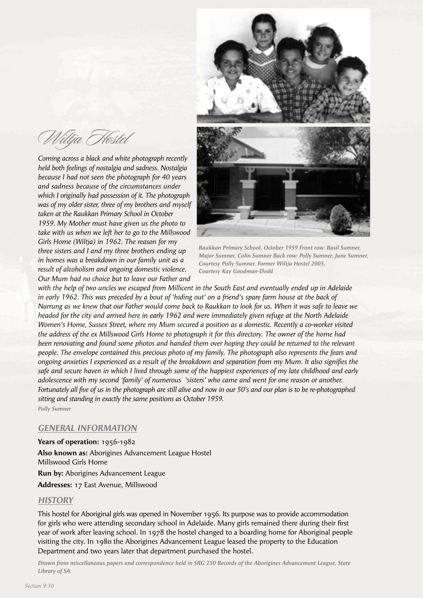Wiltja Hostel

*Coming across a black and white photograph recently held both feelings of nostalgia and sadness. Nostalgia because I had not seen the photograph for 40 years and sadness because of the circumstances under which I originally had possession of it. The photograph was of my older sister, three of my brothers and myself taken at the Raukkan Primary School in October 1959. My Mother must have given us the photo to take with us when we left her to go to the Millswood Girls Home (Wiltja) in 1962. The reason for my three sisters and I and my three brothers ending up in homes was a breakdown in our family unit as a result of alcoholism and ongoing domestic violence. Our Mum had no choice but to leave our Father and* 



*Raukkan Primary School, October 1959 Front row: Basil Sumner, Major Sumner, Colin Sumner Back row: Polly Sumner, June Sumner, Courtesy Polly Sumner. Former Wiltja Hostel 2005, Courtesy Kay Goodman-Dodd*

*with the help of two uncles we escaped from Millicent in the South East and eventually ended up in Adelaide in early 1962. This was preceded by a bout of 'hiding out' on a friend's spare farm house at the back of Narrung as we knew that our Father would come back to Raukkan to look for us. When it was safe to leave we headed for the city and arrived here in early 1962 and were immediately given refuge at the North Adelaide Women's Home, Sussex Street, where my Mum secured a position as a domestic. Recently a co-worker visited the address of the ex Millswood Girls Home to photograph it for this directory. The owner of the home had been renovating and found some photos and handed them over hoping they could be returned to the relevant people. The envelope contained this precious photo of my family. The photograph also represents the fears and ongoing anxieties I experienced as a result of the breakdown and separation from my Mum. It also signifies the safe and secure haven in which I lived through some of the happiest experiences of my late childhood and early adolescence with my second 'family' of numerous 'sisters' who came and went for one reason or another. Fortunately all five of us in the photograph are still alive and now in our 50's and our plan is to be re-photographed sitting and standing in exactly the same positions as October 1959.*

*Polly Sumner*

# *GENERAL INFORMATION*

#### **Years of operation:** 1956-1982

**Also known as:** Aborigines Advancement League Hostel Millswood Girls Home **Run by:** Aborigines Advancement League

**Addresses:** 17 East Avenue, Millswood

# *HISTORY*

This hostel for Aboriginal girls was opened in November 1956. Its purpose was to provide accommodation for girls who were attending secondary school in Adelaide. Many girls remained there during their first year of work after leaving school. In 1978 the hostel changed to a boarding home for Aboriginal people visiting the city. In 1980 the Aborigines Advancement League leased the property to the Education Department and two years later that department purchased the hostel.

*Drawn from miscellaneous papers and correspondence held in SRG 250 Records of the Aborigines Advancement League, State Library of SA.*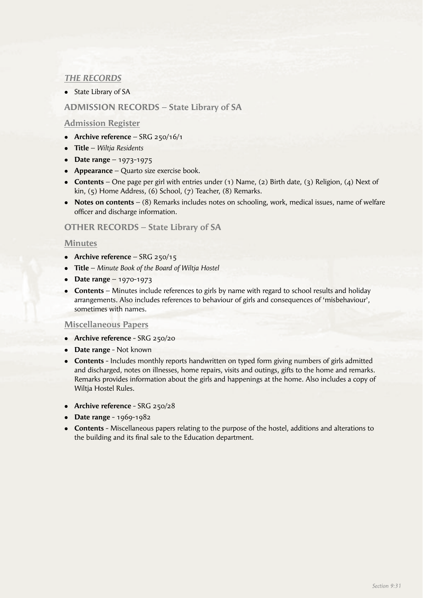# *THE RECORDS*

• State Library of SA

# **ADMISSION RECORDS – State Library of SA**

# **Admission Register**

- **Archive reference** SRG 250/16/1
- <sup>l</sup> **Title** *Wiltja Residents*
- **•** Date range 1973-1975
- **Appearance** Quarto size exercise book.
- <sup>l</sup> **Contents**  One page per girl with entries under (1) Name, (2) Birth date, (3) Religion, (4) Next of kin, (5) Home Address, (6) School, (7) Teacher, (8) Remarks.
- **Notes on contents** (8) Remarks includes notes on schooling, work, medical issues, name of welfare officer and discharge information.

#### **OTHER RECORDS – State Library of SA**

#### **Minutes**

- **Archive reference** SRG 250/15
- <sup>l</sup> **Title** *Minute Book of the Board of Wiltja Hostel*
- **•** Date range 1970-1973
- **Contents** Minutes include references to girls by name with regard to school results and holiday arrangements. Also includes references to behaviour of girls and consequences of 'misbehaviour', sometimes with names.

#### **Miscellaneous Papers**

- **Archive reference** SRG 250/20
- **Date range** Not known
- **Contents** Includes monthly reports handwritten on typed form giving numbers of girls admitted and discharged, notes on illnesses, home repairs, visits and outings, gifts to the home and remarks. Remarks provides information about the girls and happenings at the home. Also includes a copy of Wiltia Hostel Rules.
- Archive reference SRG 250/28
- **•** Date range 1969-1982
- **Contents** Miscellaneous papers relating to the purpose of the hostel, additions and alterations to the building and its final sale to the Education department.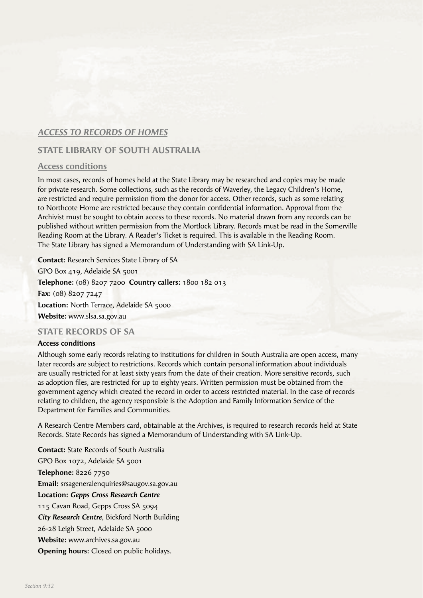# *ACCESS TO RECORDS OF HOMES*

# **STATE LIBRARY OF SOUTH AUSTRALIA**

# **Access conditions**

In most cases, records of homes held at the State Library may be researched and copies may be made for private research. Some collections, such as the records of Waverley, the Legacy Children's Home, are restricted and require permission from the donor for access. Other records, such as some relating to Northcote Home are restricted because they contain confidential information. Approval from the Archivist must be sought to obtain access to these records. No material drawn from any records can be published without written permission from the Mortlock Library. Records must be read in the Somerville Reading Room at the Library. A Reader's Ticket is required. This is available in the Reading Room. The State Library has signed a Memorandum of Understanding with SA Link-Up.

**Contact:** Research Services State Library of SA GPO Box 419, Adelaide SA 5001 **Telephone:** (08) 8207 7200 **Country callers:** 1800 182 013 **Fax:** (08) 8207 7247 Location: North Terrace, Adelaide SA 5000 **Website:** www.slsa.sa.gov.au

# **STATE RECORDS OF SA**

#### **Access conditions**

Although some early records relating to institutions for children in South Australia are open access, many later records are subject to restrictions. Records which contain personal information about individuals are usually restricted for at least sixty years from the date of their creation. More sensitive records, such as adoption files, are restricted for up to eighty years. Written permission must be obtained from the government agency which created the record in order to access restricted material. In the case of records relating to children, the agency responsible is the Adoption and Family Information Service of the Department for Families and Communities.

A Research Centre Members card, obtainable at the Archives, is required to research records held at State Records. State Records has signed a Memorandum of Understanding with SA Link-Up.

**Contact:** State Records of South Australia GPO Box 1072, Adelaide SA 5001 **Telephone:** 8226 7750 **Email:** srsageneralenquiries@saugov.sa.gov.au **Location:** *Gepps Cross Research Centre* 115 Cavan Road, Gepps Cross SA 5094 *City Research Centre,* Bickford North Building 26-28 Leigh Street, Adelaide SA 5000 **Website:** www.archives.sa.gov.au **Opening hours:** Closed on public holidays.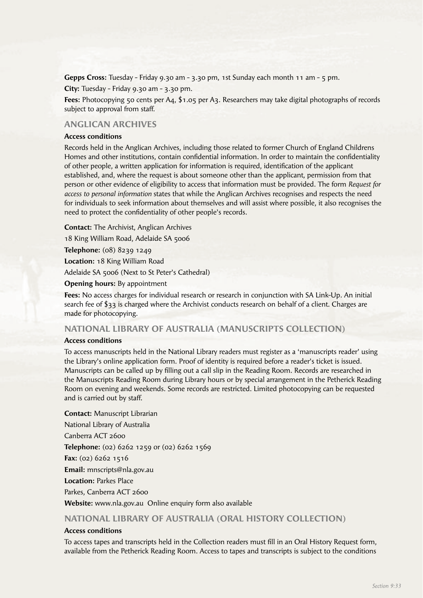**Gepps Cross:** Tuesday - Friday 9.30 am - 3.30 pm, 1st Sunday each month 11 am - 5 pm.

**City:** Tuesday - Friday 9.30 am - 3.30 pm.

**Fees:** Photocopying 50 cents per A4, \$1.05 per A3. Researchers may take digital photographs of records subject to approval from staff.

# **ANGLICAN ARCHIVES**

#### **Access conditions**

Records held in the Anglican Archives, including those related to former Church of England Childrens Homes and other institutions, contain confidential information. In order to maintain the confidentiality of other people, a written application for information is required, identification of the applicant established, and, where the request is about someone other than the applicant, permission from that person or other evidence of eligibility to access that information must be provided. The form *Request for access to personal information* states that while the Anglican Archives recognises and respects the need for individuals to seek information about themselves and will assist where possible, it also recognises the need to protect the confidentiality of other people's records.

**Contact:** The Archivist, Anglican Archives

18 King William Road, Adelaide SA 5006

**Telephone:** (08) 8239 1249

**Location:** 18 King William Road

Adelaide SA 5006 (Next to St Peter's Cathedral)

**Opening hours:** By appointment

**Fees:** No access charges for individual research or research in conjunction with SA Link-Up. An initial search fee of \$33 is charged where the Archivist conducts research on behalf of a client. Charges are made for photocopying.

#### **NATIONAL LIBRARY OF AUSTRALIA (MANUSCRIPTS COLLECTION)**

#### **Access conditions**

To access manuscripts held in the National Library readers must register as a 'manuscripts reader' using the Library's online application form. Proof of identity is required before a reader's ticket is issued. Manuscripts can be called up by filling out a call slip in the Reading Room. Records are researched in the Manuscripts Reading Room during Library hours or by special arrangement in the Petherick Reading Room on evening and weekends. Some records are restricted. Limited photocopying can be requested and is carried out by staff.

**Contact:** Manuscript Librarian National Library of Australia Canberra ACT 2600 **Telephone:** (02) 6262 1259 or (02) 6262 1569 **Fax:** (02) 6262 1516 **Email:** mnscripts@nla.gov.au **Location:** Parkes Place Parkes, Canberra ACT 2600

**Website:** www.nla.gov.au Online enquiry form also available

# **NATIONAL LIBRARY OF AUSTRALIA (ORAL HISTORY COLLECTION)**

#### **Access conditions**

To access tapes and transcripts held in the Collection readers must fill in an Oral History Request form, available from the Petherick Reading Room. Access to tapes and transcripts is subject to the conditions